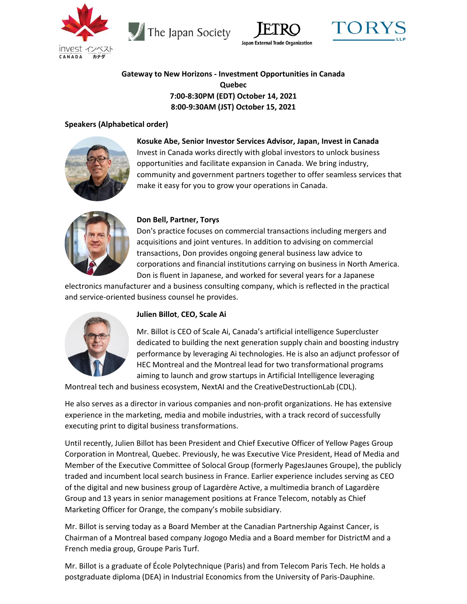







**Gateway to New Horizons - Investment Opportunities in Canada Quebec 7:00-8:30PM (EDT) October 14, 2021 8:00-9:30AM (JST) October 15, 2021**

### **Speakers (Alphabetical order)**



**Kosuke Abe, Senior Investor Services Advisor, Japan, Invest in Canada** Invest in Canada works directly with global investors to unlock business opportunities and facilitate expansion in Canada. We bring industry, community and government partners together to offer seamless services that make it easy for you to grow your operations in Canada.



#### **Don Bell, Partner, Torys**

Don's practice focuses on commercial transactions including mergers and acquisitions and joint ventures. In addition to advising on commercial transactions, Don provides ongoing general business law advice to corporations and financial institutions carrying on business in North America. Don is fluent in Japanese, and worked for several years for a Japanese

electronics manufacturer and a business consulting company, which is reflected in the practical and service-oriented business counsel he provides.



### **Julien Billot**, **CEO, Scale Ai**

Mr. Billot is CEO of Scale Ai, Canada's artificial intelligence Supercluster dedicated to building the next generation supply chain and boosting industry performance by leveraging Ai technologies. He is also an adjunct professor of HEC Montreal and the Montreal lead for two transformational programs aiming to launch and grow startups in Artificial Intelligence leveraging

Montreal tech and business ecosystem, NextAI and the CreativeDestructionLab (CDL).

He also serves as a director in various companies and non-profit organizations. He has extensive experience in the marketing, media and mobile industries, with a track record of successfully executing print to digital business transformations.

Until recently, Julien Billot has been President and Chief Executive Officer of Yellow Pages Group Corporation in Montreal, Quebec. Previously, he was Executive Vice President, Head of Media and Member of the Executive Committee of Solocal Group (formerly PagesJaunes Groupe), the publicly traded and incumbent local search business in France. Earlier experience includes serving as CEO of the digital and new business group of Lagardère Active, a multimedia branch of Lagardère Group and 13 years in senior management positions at France Telecom, notably as Chief Marketing Officer for Orange, the company's mobile subsidiary.

Mr. Billot is serving today as a Board Member at the Canadian Partnership Against Cancer, is Chairman of a Montreal based company Jogogo Media and a Board member for DistrictM and a French media group, Groupe Paris Turf.

Mr. Billot is a graduate of École Polytechnique (Paris) and from Telecom Paris Tech. He holds a postgraduate diploma (DEA) in Industrial Economics from the University of Paris-Dauphine.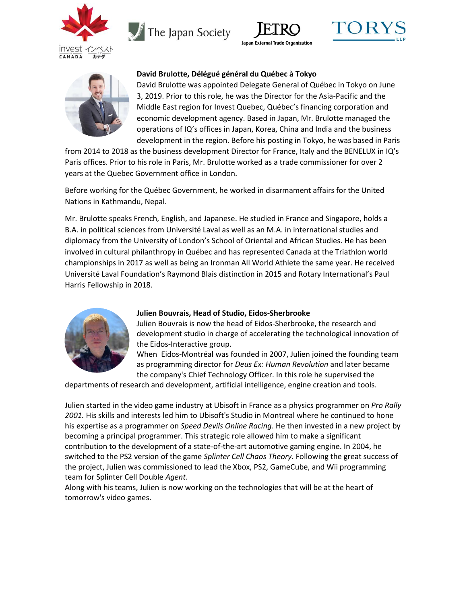









### **David Brulotte, Délégué général du Québec à Tokyo**

David Brulotte was appointed Delegate General of Québec in Tokyo on June 3, 2019. Prior to this role, he was the Director for the Asia-Pacific and the Middle East region for Invest Quebec, Québec's financing corporation and economic development agency. Based in Japan, Mr. Brulotte managed the operations of IQ's offices in Japan, Korea, China and India and the business development in the region. Before his posting in Tokyo, he was based in Paris

from 2014 to 2018 as the business development Director for France, Italy and the BENELUX in IQ's Paris offices. Prior to his role in Paris, Mr. Brulotte worked as a trade commissioner for over 2 years at the Quebec Government office in London.

Before working for the Québec Government, he worked in disarmament affairs for the United Nations in Kathmandu, Nepal.

Mr. Brulotte speaks French, English, and Japanese. He studied in France and Singapore, holds a B.A. in political sciences from Université Laval as well as an M.A. in international studies and diplomacy from the University of London's School of Oriental and African Studies. He has been involved in cultural philanthropy in Québec and has represented Canada at the Triathlon world championships in 2017 as well as being an Ironman All World Athlete the same year. He received Université Laval Foundation's Raymond Blais distinction in 2015 and Rotary International's Paul Harris Fellowship in 2018.



### **Julien Bouvrais, Head of Studio, Eidos-Sherbrooke**

Julien Bouvrais is now the head of Eidos-Sherbrooke, the research and development studio in charge of accelerating the technological innovation of the Eidos-Interactive group.

When Eidos-Montréal was founded in 2007, Julien joined the founding team as programming director for *Deus Ex: Human Revolution* and later became the company's Chief Technology Officer. In this role he supervised the

departments of research and development, artificial intelligence, engine creation and tools.

Julien started in the video game industry at Ubisoft in France as a physics programmer on *Pro Rally 2001.* His skills and interests led him to Ubisoft's Studio in Montreal where he continued to hone his expertise as a programmer on *Speed Devils Online Racing*. He then invested in a new project by becoming a principal programmer. This strategic role allowed him to make a significant contribution to the development of a state-of-the-art automotive gaming engine. In 2004, he switched to the PS2 version of the game *Splinter Cell Chaos Theory*. Following the great success of the project, Julien was commissioned to lead the Xbox, PS2, GameCube, and Wii programming team for Splinter Cell Double *Agent*.

Along with his teams, Julien is now working on the technologies that will be at the heart of tomorrow's video games.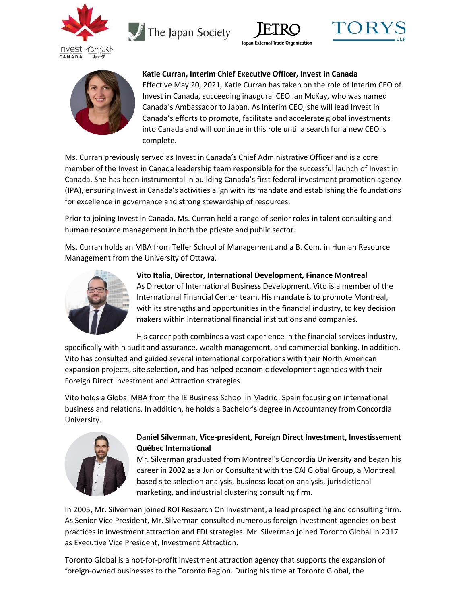









**Katie Curran, Interim Chief Executive Officer, Invest in Canada** Effective May 20, 2021, Katie Curran has taken on the role of Interim CEO of Invest in Canada, succeeding inaugural CEO Ian McKay, who was named Canada's Ambassador to Japan. As Interim CEO, she will lead Invest in Canada's efforts to promote, facilitate and accelerate global investments into Canada and will continue in this role until a search for a new CEO is complete.

Ms. Curran previously served as Invest in Canada's Chief Administrative Officer and is a core member of the Invest in Canada leadership team responsible for the successful launch of Invest in Canada. She has been instrumental in building Canada's first federal investment promotion agency (IPA), ensuring Invest in Canada's activities align with its mandate and establishing the foundations for excellence in governance and strong stewardship of resources.

Prior to joining Invest in Canada, Ms. Curran held a range of senior roles in talent consulting and human resource management in both the private and public sector.

Ms. Curran holds an MBA from Telfer School of Management and a B. Com. in Human Resource Management from the University of Ottawa.



**Vito Italia, Director, International Development, Finance Montreal** As Director of International Business Development, Vito is a member of the International Financial Center team. His mandate is to promote Montréal, with its strengths and opportunities in the financial industry, to key decision makers within international financial institutions and companies.

His career path combines a vast experience in the financial services industry, specifically within audit and assurance, wealth management, and commercial banking. In addition, Vito has consulted and guided several international corporations with their North American expansion projects, site selection, and has helped economic development agencies with their Foreign Direct Investment and Attraction strategies.

Vito holds a Global MBA from the IE Business School in Madrid, Spain focusing on international business and relations. In addition, he holds a Bachelor's degree in Accountancy from Concordia University.



# **Daniel Silverman, Vice-president, Foreign Direct Investment, Investissement Québec International**

Mr. Silverman graduated from Montreal's Concordia University and began his career in 2002 as a Junior Consultant with the CAI Global Group, a Montreal based site selection analysis, business location analysis, jurisdictional marketing, and industrial clustering consulting firm.

In 2005, Mr. Silverman joined ROI Research On Investment, a lead prospecting and consulting firm. As Senior Vice President, Mr. Silverman consulted numerous foreign investment agencies on best practices in investment attraction and FDI strategies. Mr. Silverman joined Toronto Global in 2017 as Executive Vice President, Investment Attraction.

Toronto Global is a not-for-profit investment attraction agency that supports the expansion of foreign-owned businesses to the Toronto Region. During his time at Toronto Global, the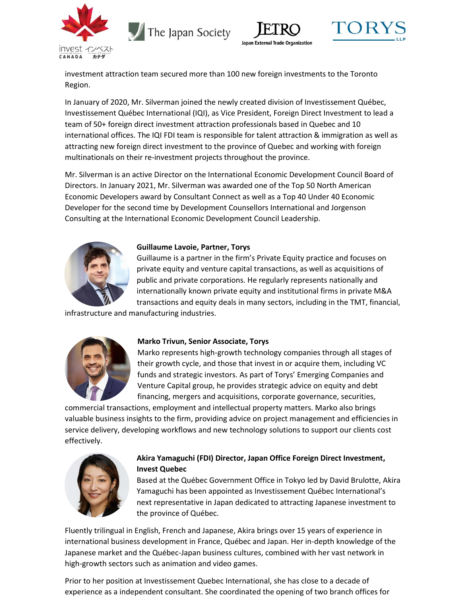







investment attraction team secured more than 100 new foreign investments to the Toronto Region.

In January of 2020, Mr. Silverman joined the newly created division of Investissement Québec, Investissement Québec International (IQI), as Vice President, Foreign Direct Investment to lead a team of 50+ foreign direct investment attraction professionals based in Quebec and 10 international offices. The IQI FDI team is responsible for talent attraction & immigration as well as attracting new foreign direct investment to the province of Quebec and working with foreign multinationals on their re-investment projects throughout the province.

Mr. Silverman is an active Director on the International Economic Development Council Board of Directors. In January 2021, Mr. Silverman was awarded one of the Top 50 North American Economic Developers award by Consultant Connect as well as a Top 40 Under 40 Economic Developer for the second time by Development Counsellors International and Jorgenson Consulting at the International Economic Development Council Leadership.



### **Guillaume Lavoie, Partner, Torys**

Guillaume is a partner in the firm's Private Equity practice and focuses on private equity and venture capital transactions, as well as acquisitions of public and private corporations. He regularly represents nationally and internationally known private equity and institutional firms in private M&A transactions and equity deals in many sectors, including in the TMT, financial,

infrastructure and manufacturing industries.



### **Marko Trivun, Senior Associate, Torys**

Marko represents high-growth technology companies through all stages of their growth cycle, and those that invest in or acquire them, including VC funds and strategic investors. As part of Torys' Emerging Companies and Venture Capital group, he provides strategic advice on equity and debt financing, mergers and acquisitions, corporate governance, securities,

commercial transactions, employment and intellectual property matters. Marko also brings valuable business insights to the firm, providing advice on project management and efficiencies in service delivery, developing workflows and new technology solutions to support our clients cost effectively.



## **Akira Yamaguchi (FDI) Director, Japan Office Foreign Direct Investment, Invest Quebec**

Based at the Québec Government Office in Tokyo led by David Brulotte, Akira Yamaguchi has been appointed as Investissement Québec International's next representative in Japan dedicated to attracting Japanese investment to the province of Québec.

Fluently trilingual in English, French and Japanese, Akira brings over 15 years of experience in international business development in France, Québec and Japan. Her in-depth knowledge of the Japanese market and the Québec-Japan business cultures, combined with her vast network in high-growth sectors such as animation and video games.

Prior to her position at Investissement Quebec International, she has close to a decade of experience as a independent consultant. She coordinated the opening of two branch offices for